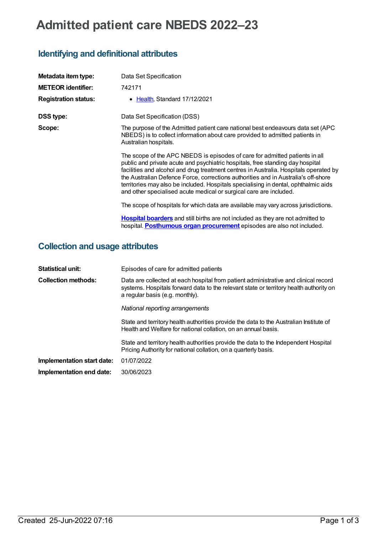# **Admitted patient care NBEDS 2022–23**

# **Identifying and definitional attributes**

| Metadata item type:         | Data Set Specification                                                                                                                                                                                                                                                                                                                                                                                                                                                                                    |
|-----------------------------|-----------------------------------------------------------------------------------------------------------------------------------------------------------------------------------------------------------------------------------------------------------------------------------------------------------------------------------------------------------------------------------------------------------------------------------------------------------------------------------------------------------|
| <b>METEOR identifier:</b>   | 742171                                                                                                                                                                                                                                                                                                                                                                                                                                                                                                    |
| <b>Registration status:</b> | • Health, Standard 17/12/2021                                                                                                                                                                                                                                                                                                                                                                                                                                                                             |
| <b>DSS type:</b>            | Data Set Specification (DSS)                                                                                                                                                                                                                                                                                                                                                                                                                                                                              |
| Scope:                      | The purpose of the Admitted patient care national best endeavours data set (APC)<br>NBEDS) is to collect information about care provided to admitted patients in<br>Australian hospitals.                                                                                                                                                                                                                                                                                                                 |
|                             | The scope of the APC NBEDS is episodes of care for admitted patients in all<br>public and private acute and psychiatric hospitals, free standing day hospital<br>facilities and alcohol and drug treatment centres in Australia. Hospitals operated by<br>the Australian Defence Force, corrections authorities and in Australia's off-shore<br>territories may also be included. Hospitals specialising in dental, ophthalmic aids<br>and other specialised acute medical or surgical care are included. |
|                             | The scope of hospitals for which data are available may vary across jurisdictions.                                                                                                                                                                                                                                                                                                                                                                                                                        |
|                             | Hospital boarders and still births are not included as they are not admitted to<br>hospital. Posthumous organ procurement episodes are also not included.                                                                                                                                                                                                                                                                                                                                                 |

# **Collection and usage attributes**

| <b>Statistical unit:</b>   | Episodes of care for admitted patients                                                                                                                                                                           |
|----------------------------|------------------------------------------------------------------------------------------------------------------------------------------------------------------------------------------------------------------|
| <b>Collection methods:</b> | Data are collected at each hospital from patient administrative and clinical record<br>systems. Hospitals forward data to the relevant state or territory health authority on<br>a regular basis (e.g. monthly). |
|                            | National reporting arrangements                                                                                                                                                                                  |
|                            | State and territory health authorities provide the data to the Australian Institute of<br>Health and Welfare for national collation, on an annual basis.                                                         |
|                            | State and territory health authorities provide the data to the Independent Hospital<br>Pricing Authority for national collation, on a quarterly basis.                                                           |
| Implementation start date: | 01/07/2022                                                                                                                                                                                                       |
| Implementation end date:   | 30/06/2023                                                                                                                                                                                                       |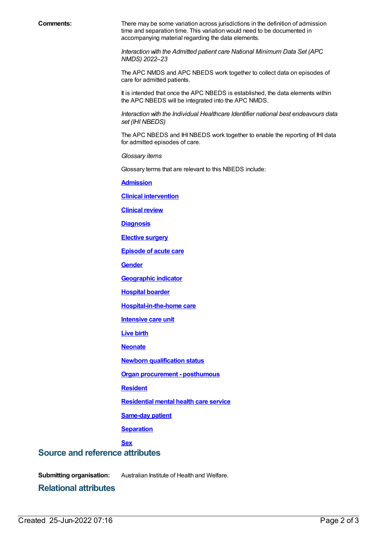**Comments:** There may be some variation across jurisdictions in the definition of admission time and separation time. This variation would need to be documented in accompanying material regarding the data elements.

> *Interaction with the Admitted patient care National Minimum Data Set (APC NMDS) 2022*–*23*

The APC NMDS and APC NBEDS work together to collect data on episodes of care for admitted patients.

It is intended that once the APC NBEDS is established, the data elements within the APC NBEDS will be integrated into the APC NMDS.

*Interaction with the Individual Healthcare Identifier national best endeavours data set (IHI NBEDS)*

The APC NBEDS and IHI NBEDS work together to enable the reporting of IHI data for admitted episodes of care.

*Glossary items*

Glossary terms that are relevant to this NBEDS include:

**[Admission](https://meteor.aihw.gov.au/content/327206)**

**Clinical [intervention](https://meteor.aihw.gov.au/content/327220)**

**[Clinical](https://meteor.aihw.gov.au/content/327214) review**

**[Diagnosis](https://meteor.aihw.gov.au/content/327224)**

**[Elective](https://meteor.aihw.gov.au/content/568780) surgery**

**[Episode](https://meteor.aihw.gov.au/content/327230) of acute care**

**[Gender](https://meteor.aihw.gov.au/content/750032)**

**[Geographic](https://meteor.aihw.gov.au/content/722655) indicator**

**[Hospital](https://meteor.aihw.gov.au/content/327242) boarder**

**[Hospital-in-the-home](https://meteor.aihw.gov.au/content/327308) care**

**[Intensive](https://meteor.aihw.gov.au/content/327234) care unit**

**[Live](https://meteor.aihw.gov.au/content/733187) birth**

**[Neonate](https://meteor.aihw.gov.au/content/327284)**

**Newborn [qualification](https://meteor.aihw.gov.au/content/327254) status**

**Organ [procurement](https://meteor.aihw.gov.au/content/711000) - posthumous**

**[Resident](https://meteor.aihw.gov.au/content/722666)**

**[Residential](https://meteor.aihw.gov.au/content/373049) mental health care service**

**[Same-day](https://meteor.aihw.gov.au/content/327270) patient**

**[Separation](https://meteor.aihw.gov.au/content/327268)**

#### **[Sex](https://meteor.aihw.gov.au/content/750030)**

### **Source and reference attributes**

**Submitting organisation:** Australian Institute of Health and Welfare.

**Relational attributes**